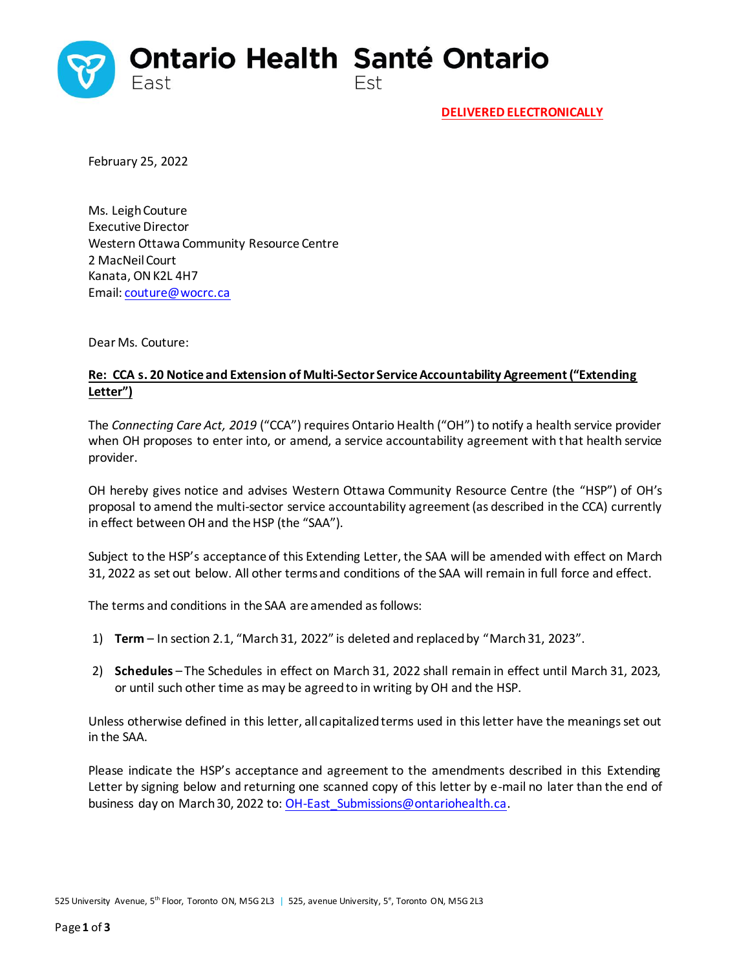

February 25, 2022

Ms. Leigh Couture Executive Director Western Ottawa Community Resource Centre 2 MacNeil Court Kanata, ON K2L 4H7 Email: [couture@wocrc.ca](mailto:couture@wocrc.ca)

Dear Ms. Couture:

## **Re: CCA s. 20 Notice and Extension of Multi-Sector Service Accountability Agreement ("Extending Letter")**

The *Connecting Care Act, 2019* ("CCA") requires Ontario Health ("OH") to notify a health service provider when OH proposes to enter into, or amend, a service accountability agreement with that health service provider.

OH hereby gives notice and advises Western Ottawa Community Resource Centre (the "HSP") of OH's proposal to amend the multi-sector service accountability agreement (as described in the CCA) currently in effect between OH and the HSP (the "SAA").

Subject to the HSP's acceptance of this Extending Letter, the SAA will be amended with effect on March 31, 2022 as set out below. All other terms and conditions of the SAA will remain in full force and effect.

The terms and conditions in the SAA are amended as follows:

- 1) **Term** In section 2.1, "March 31, 2022" is deleted and replaced by "March 31, 2023".
- 2) **Schedules**  The Schedules in effect on March 31, 2022 shall remain in effect until March 31, 2023, or until such other time as may be agreed to in writing by OH and the HSP.

Unless otherwise defined in this letter, all capitalized terms used in this letter have the meanings set out in the SAA.

Please indicate the HSP's acceptance and agreement to the amendments described in this Extending Letter by signing below and returning one scanned copy of this letter by e-mail no later than the end of business day on March 30, 2022 to: OH-East Submissions@ontariohealth.ca.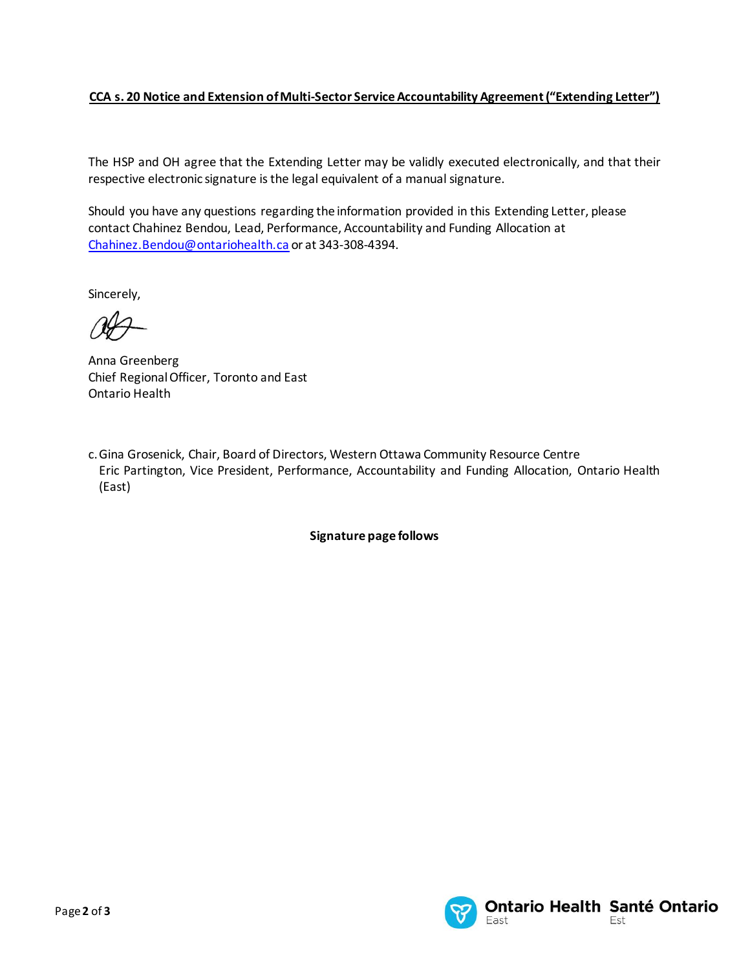## **CCA s. 20 Notice and Extension of Multi-Sector Service Accountability Agreement ("Extending Letter")**

The HSP and OH agree that the Extending Letter may be validly executed electronically, and that their respective electronic signature is the legal equivalent of a manual signature.

Should you have any questions regarding the information provided in this Extending Letter, please contact Chahinez Bendou, Lead, Performance, Accountability and Funding Allocation at [Chahinez.Bendou@ontariohealth.ca](mailto:Chahinez.Bendou@ontariohealth.ca) or at 343-308-4394.

Sincerely,

Anna Greenberg Chief Regional Officer, Toronto and East Ontario Health

c.Gina Grosenick, Chair, Board of Directors, Western Ottawa Community Resource Centre Eric Partington, Vice President, Performance, Accountability and Funding Allocation, Ontario Health (East)

**Signature page follows**